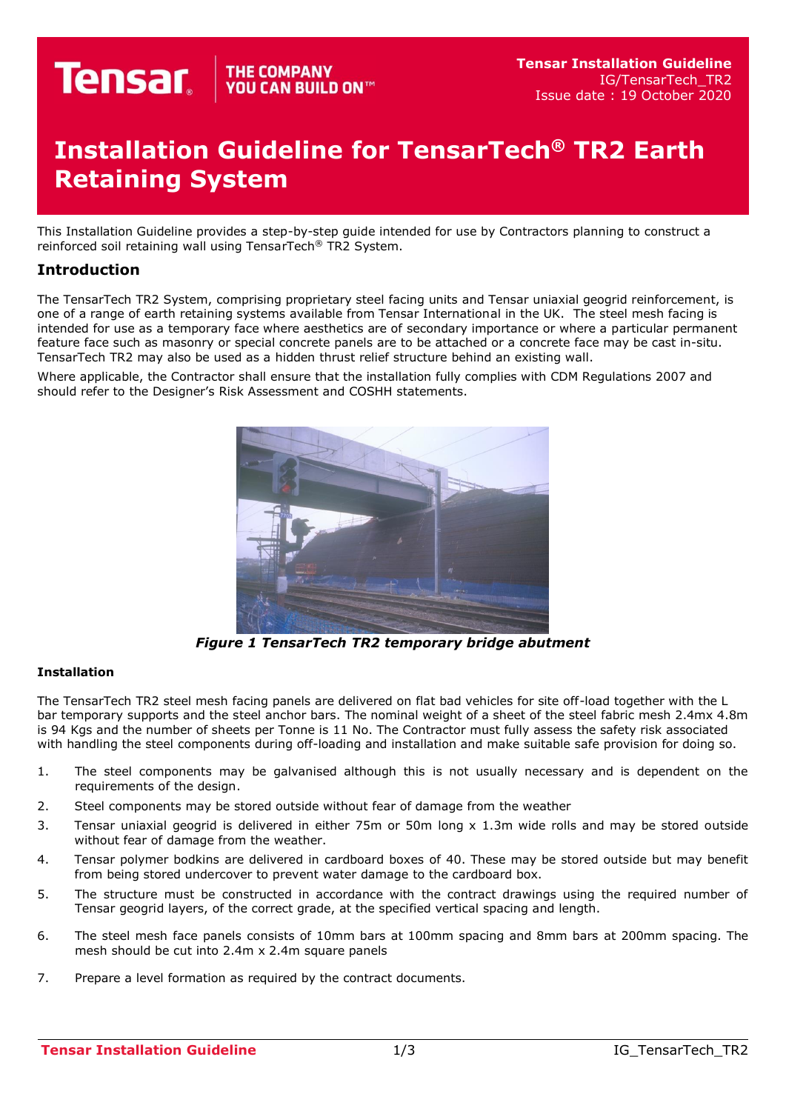## THE COMPANY YOU CAN BUILD ON  $^{\mathsf{m}}$ **Tensar**

## **Installation Guideline for TensarTech® TR2 Earth Retaining System**

This Installation Guideline provides a step-by-step guide intended for use by Contractors planning to construct a reinforced soil retaining wall using TensarTech® TR2 System.

## **Introduction**

The TensarTech TR2 System, comprising proprietary steel facing units and Tensar uniaxial geogrid reinforcement, is one of a range of earth retaining systems available from Tensar International in the UK. The steel mesh facing is intended for use as a temporary face where aesthetics are of secondary importance or where a particular permanent feature face such as masonry or special concrete panels are to be attached or a concrete face may be cast in-situ. TensarTech TR2 may also be used as a hidden thrust relief structure behind an existing wall.

Where applicable, the Contractor shall ensure that the installation fully complies with CDM Regulations 2007 and should refer to the Designer's Risk Assessment and COSHH statements.



*Figure 1 TensarTech TR2 temporary bridge abutment*

## **Installation**

The TensarTech TR2 steel mesh facing panels are delivered on flat bad vehicles for site off-load together with the L bar temporary supports and the steel anchor bars. The nominal weight of a sheet of the steel fabric mesh 2.4mx 4.8m is 94 Kgs and the number of sheets per Tonne is 11 No. The Contractor must fully assess the safety risk associated with handling the steel components during off-loading and installation and make suitable safe provision for doing so.

- 1. The steel components may be galvanised although this is not usually necessary and is dependent on the requirements of the design.
- 2. Steel components may be stored outside without fear of damage from the weather
- 3. Tensar uniaxial geogrid is delivered in either 75m or 50m long x 1.3m wide rolls and may be stored outside without fear of damage from the weather.
- 4. Tensar polymer bodkins are delivered in cardboard boxes of 40. These may be stored outside but may benefit from being stored undercover to prevent water damage to the cardboard box.
- 5. The structure must be constructed in accordance with the contract drawings using the required number of Tensar geogrid layers, of the correct grade, at the specified vertical spacing and length.
- 6. The steel mesh face panels consists of 10mm bars at 100mm spacing and 8mm bars at 200mm spacing. The mesh should be cut into 2.4m x 2.4m square panels
- 7. Prepare a level formation as required by the contract documents.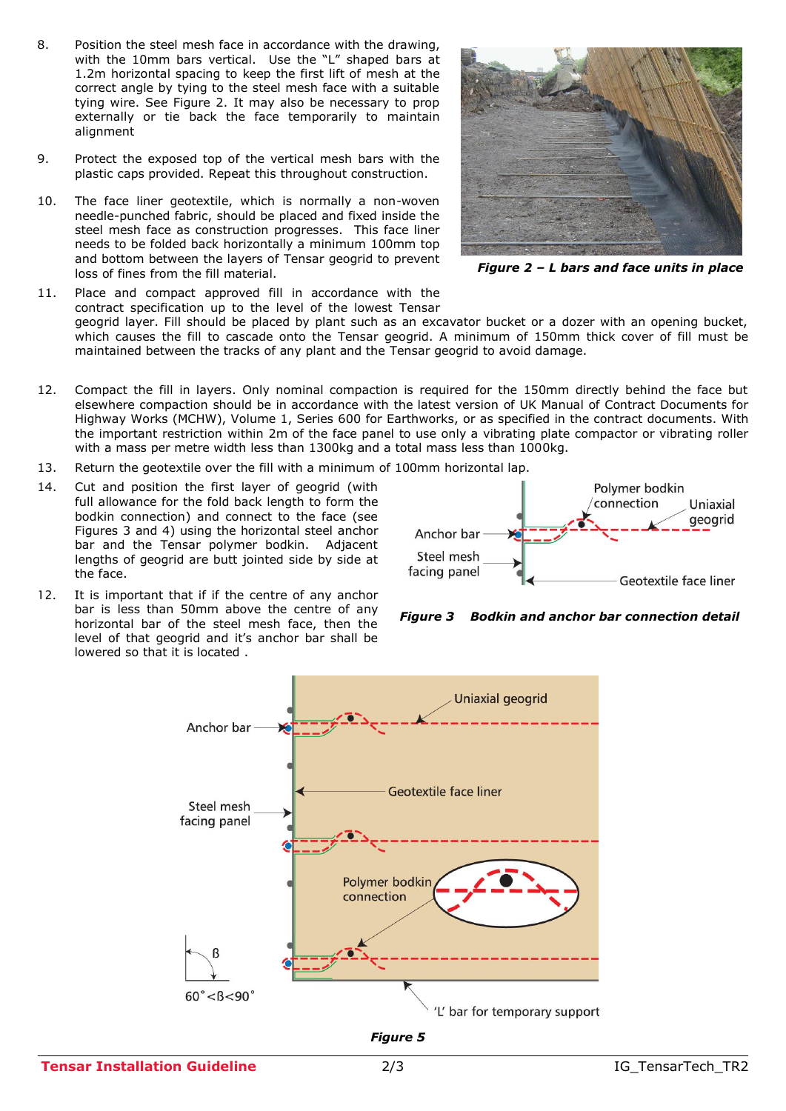- 8. Position the steel mesh face in accordance with the drawing, with the 10mm bars vertical. Use the "L" shaped bars at 1.2m horizontal spacing to keep the first lift of mesh at the correct angle by tying to the steel mesh face with a suitable tying wire. See Figure 2. It may also be necessary to prop externally or tie back the face temporarily to maintain alignment
- 9. Protect the exposed top of the vertical mesh bars with the plastic caps provided. Repeat this throughout construction.
- 10. The face liner geotextile, which is normally a non-woven needle-punched fabric, should be placed and fixed inside the steel mesh face as construction progresses. This face liner needs to be folded back horizontally a minimum 100mm top and bottom between the layers of Tensar geogrid to prevent loss of fines from the fill material.



 *Figure 2 – L bars and face units in place*

11. Place and compact approved fill in accordance with the contract specification up to the level of the lowest Tensar geogrid layer. Fill should be placed by plant such as an excavator bucket or a dozer with an opening bucket, which causes the fill to cascade onto the Tensar geogrid. A minimum of 150mm thick cover of fill must be maintained between the tracks of any plant and the Tensar geogrid to avoid damage.

- 12. Compact the fill in layers. Only nominal compaction is required for the 150mm directly behind the face but elsewhere compaction should be in accordance with the latest version of UK Manual of Contract Documents for Highway Works (MCHW), Volume 1, Series 600 for Earthworks, or as specified in the contract documents. With the important restriction within 2m of the face panel to use only a vibrating plate compactor or vibrating roller with a mass per metre width less than 1300kg and a total mass less than 1000kg.
- 13. Return the geotextile over the fill with a minimum of 100mm horizontal lap.
- 14. Cut and position the first layer of geogrid (with full allowance for the fold back length to form the bodkin connection) and connect to the face (see Figures 3 and 4) using the horizontal steel anchor bar and the Tensar polymer bodkin. Adjacent lengths of geogrid are butt jointed side by side at the face.
- 12. It is important that if if the centre of any anchor bar is less than 50mm above the centre of any horizontal bar of the steel mesh face, then the level of that geogrid and it's anchor bar shall be lowered so that it is located .



*Figure 3 Bodkin and anchor bar connection detail*



*Figure 5*